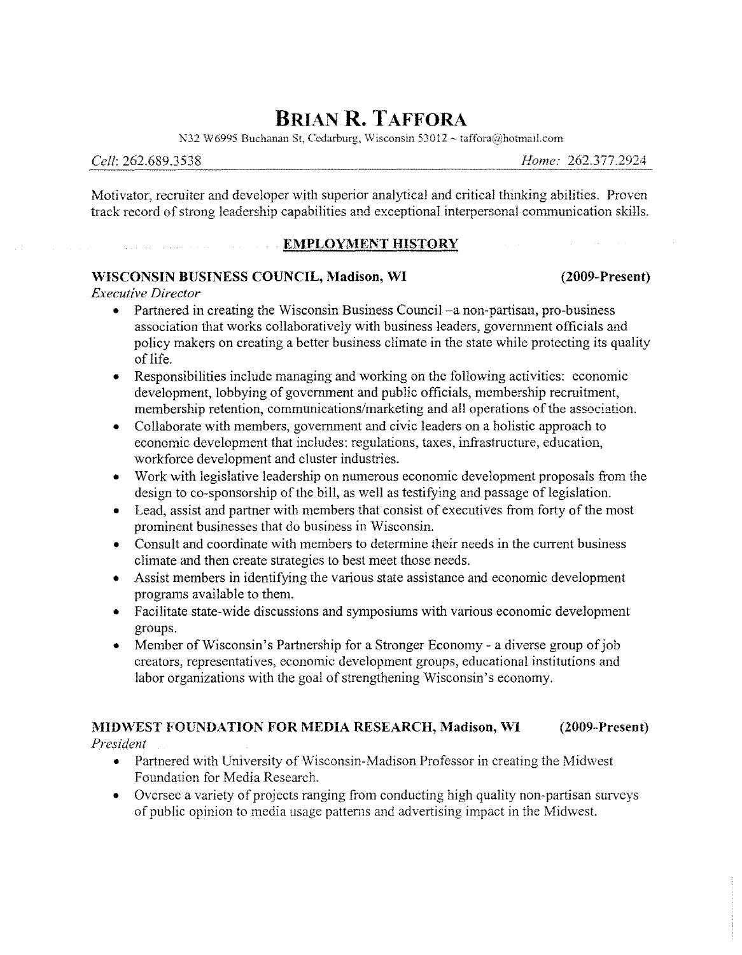# **BRIAN R. TAFFORA**

**N32** W6995 Buchanan St, Cedarburg, Wisconsin 53012 ~ taffora@hotmail.com

Motivator, recruiter and developer with superior analytical and critical thinking abilities. Proven track record of strong leadership capabilities and exceptional interpersonal communication skills.

#### **EMPLOYMENT HISTORY**

#### **WISCONSIN BUSINESS COUNCIL, Madison, WI (2009-Present)**

*Executive Director*

- o Partnered in creating the Wisconsin Business Council-a non-partisan, pro-business association that works collaboratively with business leaders, government officials and policy makers on creating a better business climate in the state while protecting its quality of life.
- o Responsibilities include managing and working on the following activities: economic development, lobbying of government and public officials, membership recruitment, membership retention, communications/marketing and all operations of the association.
- Collaborate with members, government and civic leaders on a holistic approach to economic development that includes: regulations, taxes, infrastructure, education, workforce development and cluster industries.
- Work with legislative leadership on numerous economic development proposals from the design to co-sponsorship of the bill, as well as testifying and passage of legislation.
- Lead, assist and partner with members that consist of executives from forty of the most prominent businesses that do business in Wisconsin.
- Consult and coordinate with members to determine their needs in the current business climate and then create strategies to best meet those needs.
- o Assist members in identifying the various state assistance and economic development programs available to them.
- o Facilitate state-wide discussions and symposiums with various economic development groups.
- Member of Wisconsin's Partnership for a Stronger Economy a diverse group of job creators, representatives, economic development groups, educational institutions and labor organizations with the goal of strengthening Wisconsin's economy.

## **MIDWEST FOUNDATION FOR MEDIA RESEARCH, Madison, WI (2009-Present)**

*President*

- Partnered with University of Wisconsin-Madison Professor in creating the Midwest Foundation for Media Research.
- Oversee a variety of projects ranging from conducting high quality non-partisan surveys of public opinion to media usage patterns and advertising impact in the Midwest.

*Cell: 262.689.3538 Home: 262.377.2924*